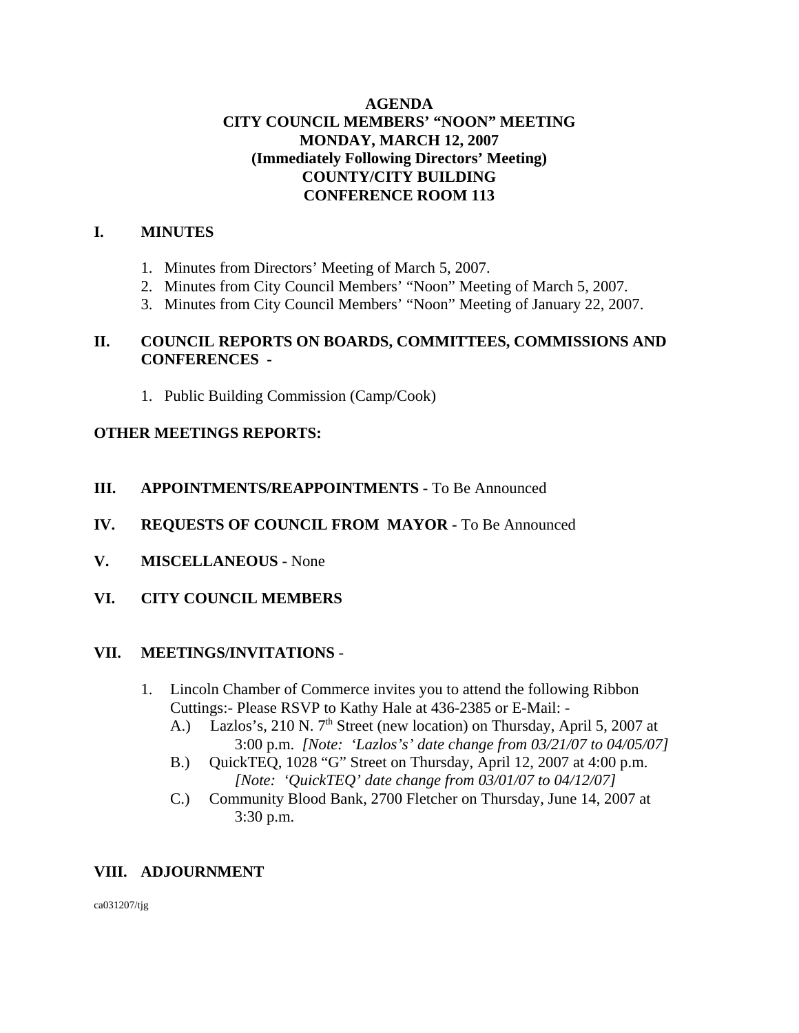## **AGENDA CITY COUNCIL MEMBERS' "NOON" MEETING MONDAY, MARCH 12, 2007 (Immediately Following Directors' Meeting) COUNTY/CITY BUILDING CONFERENCE ROOM 113**

## **I. MINUTES**

- 1. Minutes from Directors' Meeting of March 5, 2007.
- 2. Minutes from City Council Members' "Noon" Meeting of March 5, 2007.
- 3. Minutes from City Council Members' "Noon" Meeting of January 22, 2007.

## **II. COUNCIL REPORTS ON BOARDS, COMMITTEES, COMMISSIONS AND CONFERENCES -**

1. Public Building Commission (Camp/Cook)

## **OTHER MEETINGS REPORTS:**

# **III.** APPOINTMENTS/REAPPOINTMENTS - To Be Announced

- **IV. REQUESTS OF COUNCIL FROM MAYOR -** To Be Announced
- **V. MISCELLANEOUS** None
- **VI. CITY COUNCIL MEMBERS**

# **VII. MEETINGS/INVITATIONS** -

- 1. Lincoln Chamber of Commerce invites you to attend the following Ribbon Cuttings:- Please RSVP to Kathy Hale at 436-2385 or E-Mail: -
	- A.) Lazlos's, 210 N.  $7<sup>th</sup>$  Street (new location) on Thursday, April 5, 2007 at 3:00 p.m. *[Note: 'Lazlos's' date change from 03/21/07 to 04/05/07]*
	- B.) QuickTEQ, 1028 "G" Street on Thursday, April 12, 2007 at 4:00 p.m. *[Note: 'QuickTEQ' date change from 03/01/07 to 04/12/07]*
	- C.) Community Blood Bank, 2700 Fletcher on Thursday, June 14, 2007 at 3:30 p.m.

# **VIII. ADJOURNMENT**

ca031207/tjg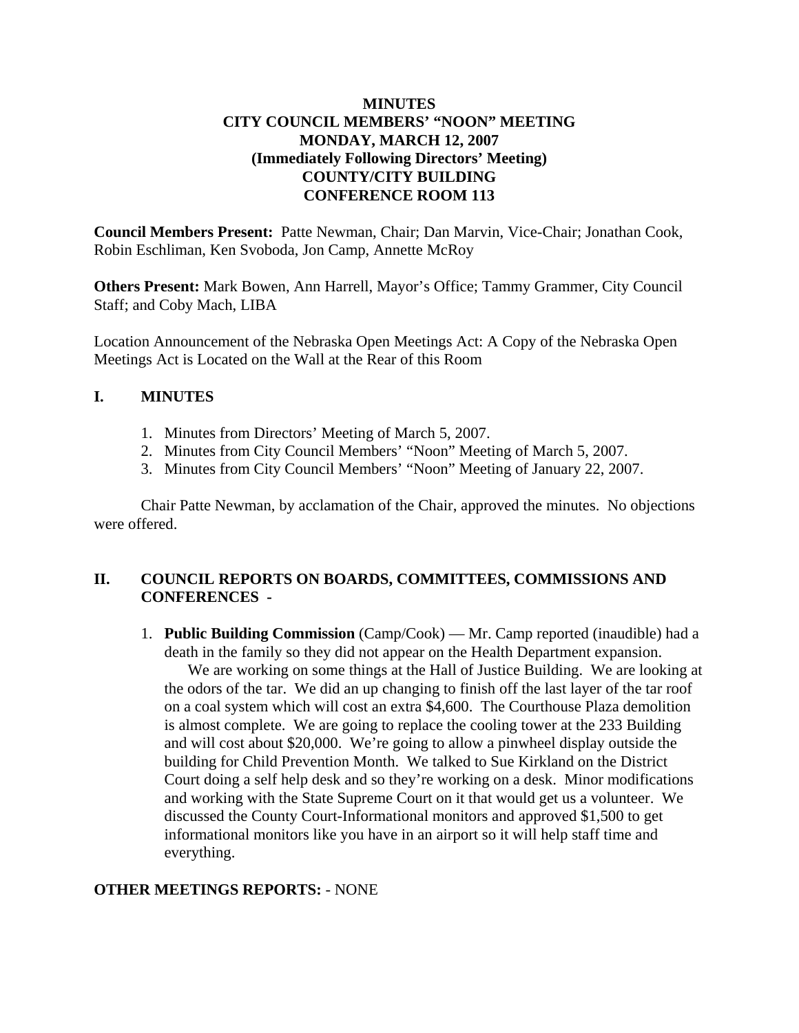## **MINUTES CITY COUNCIL MEMBERS' "NOON" MEETING MONDAY, MARCH 12, 2007 (Immediately Following Directors' Meeting) COUNTY/CITY BUILDING CONFERENCE ROOM 113**

**Council Members Present:** Patte Newman, Chair; Dan Marvin, Vice-Chair; Jonathan Cook, Robin Eschliman, Ken Svoboda, Jon Camp, Annette McRoy

**Others Present:** Mark Bowen, Ann Harrell, Mayor's Office; Tammy Grammer, City Council Staff; and Coby Mach, LIBA

Location Announcement of the Nebraska Open Meetings Act: A Copy of the Nebraska Open Meetings Act is Located on the Wall at the Rear of this Room

#### **I. MINUTES**

- 1. Minutes from Directors' Meeting of March 5, 2007.
- 2. Minutes from City Council Members' "Noon" Meeting of March 5, 2007.
- 3. Minutes from City Council Members' "Noon" Meeting of January 22, 2007.

Chair Patte Newman, by acclamation of the Chair, approved the minutes. No objections were offered.

## **II. COUNCIL REPORTS ON BOARDS, COMMITTEES, COMMISSIONS AND CONFERENCES -**

1. **Public Building Commission** (Camp/Cook) — Mr. Camp reported (inaudible) had a death in the family so they did not appear on the Health Department expansion.

 We are working on some things at the Hall of Justice Building. We are looking at the odors of the tar. We did an up changing to finish off the last layer of the tar roof on a coal system which will cost an extra \$4,600. The Courthouse Plaza demolition is almost complete. We are going to replace the cooling tower at the 233 Building and will cost about \$20,000. We're going to allow a pinwheel display outside the building for Child Prevention Month. We talked to Sue Kirkland on the District Court doing a self help desk and so they're working on a desk. Minor modifications and working with the State Supreme Court on it that would get us a volunteer. We discussed the County Court-Informational monitors and approved \$1,500 to get informational monitors like you have in an airport so it will help staff time and everything.

## **OTHER MEETINGS REPORTS:** - NONE